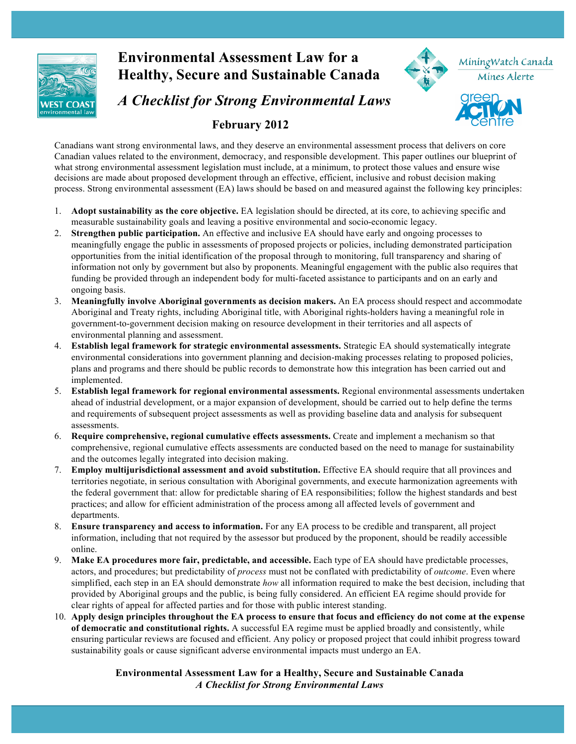

# **Environmental Assessment Law for a** MiningWatch Canada **Healthy, Secure and Sustainable Canada** Mines Alerte *A Checklist for Strong Environmental Laws*  **February 2012**

Canadians want strong environmental laws, and they deserve an environmental assessment process that delivers on core Canadian values related to the environment, democracy, and responsible development. This paper outlines our blueprint of what strong environmental assessment legislation must include, at a minimum, to protect those values and ensure wise decisions are made about proposed development through an effective, efficient, inclusive and robust decision making process. Strong environmental assessment (EA) laws should be based on and measured against the following key principles:

- 1. **Adopt sustainability as the core objective.** EA legislation should be directed, at its core, to achieving specific and measurable sustainability goals and leaving a positive environmental and socio-economic legacy.
- 2. **Strengthen public participation.** An effective and inclusive EA should have early and ongoing processes to meaningfully engage the public in assessments of proposed projects or policies, including demonstrated participation opportunities from the initial identification of the proposal through to monitoring, full transparency and sharing of information not only by government but also by proponents. Meaningful engagement with the public also requires that funding be provided through an independent body for multi-faceted assistance to participants and on an early and ongoing basis.
- 3. **Meaningfully involve Aboriginal governments as decision makers.** An EA process should respect and accommodate Aboriginal and Treaty rights, including Aboriginal title, with Aboriginal rights-holders having a meaningful role in government-to-government decision making on resource development in their territories and all aspects of environmental planning and assessment.
- 4. **Establish legal framework for strategic environmental assessments.** Strategic EA should systematically integrate environmental considerations into government planning and decision-making processes relating to proposed policies, plans and programs and there should be public records to demonstrate how this integration has been carried out and implemented.
- 5. **Establish legal framework for regional environmental assessments.** Regional environmental assessments undertaken ahead of industrial development, or a major expansion of development, should be carried out to help define the terms and requirements of subsequent project assessments as well as providing baseline data and analysis for subsequent assessments.
- 6. **Require comprehensive, regional cumulative effects assessments.** Create and implement a mechanism so that comprehensive, regional cumulative effects assessments are conducted based on the need to manage for sustainability and the outcomes legally integrated into decision making.
- 7. **Employ multijurisdictional assessment and avoid substitution.** Effective EA should require that all provinces and territories negotiate, in serious consultation with Aboriginal governments, and execute harmonization agreements with the federal government that: allow for predictable sharing of EA responsibilities; follow the highest standards and best practices; and allow for efficient administration of the process among all affected levels of government and departments.
- 8. **Ensure transparency and access to information.** For any EA process to be credible and transparent, all project information, including that not required by the assessor but produced by the proponent, should be readily accessible online.
- 9. **Make EA procedures more fair, predictable, and accessible.** Each type of EA should have predictable processes, actors, and procedures; but predictability of *process* must not be conflated with predictability of *outcome*. Even where simplified, each step in an EA should demonstrate *how* all information required to make the best decision, including that provided by Aboriginal groups and the public, is being fully considered. An efficient EA regime should provide for clear rights of appeal for affected parties and for those with public interest standing.
- 10. **Apply design principles throughout the EA process to ensure that focus and efficiency do not come at the expense of democratic and constitutional rights.** A successful EA regime must be applied broadly and consistently, while ensuring particular reviews are focused and efficient. Any policy or proposed project that could inhibit progress toward sustainability goals or cause significant adverse environmental impacts must undergo an EA.

# **Environmental Assessment Law for a Healthy, Secure and Sustainable Canada** *A Checklist for Strong Environmental Laws*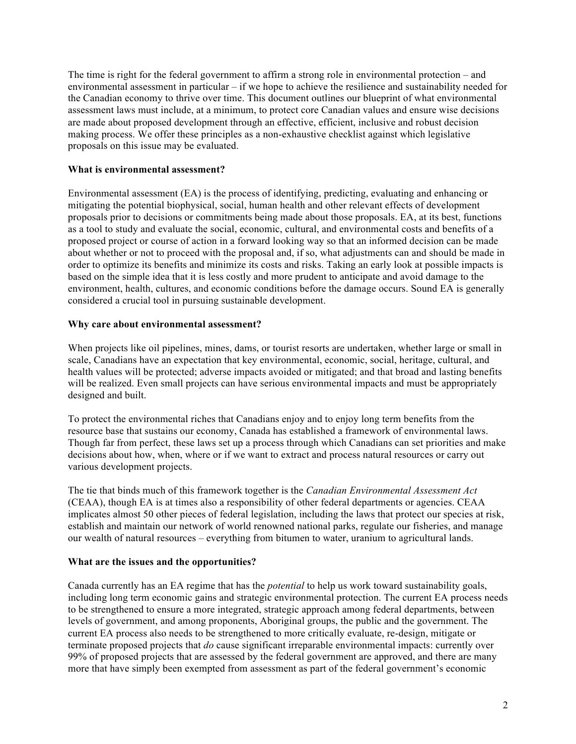The time is right for the federal government to affirm a strong role in environmental protection – and environmental assessment in particular – if we hope to achieve the resilience and sustainability needed for the Canadian economy to thrive over time. This document outlines our blueprint of what environmental assessment laws must include, at a minimum, to protect core Canadian values and ensure wise decisions are made about proposed development through an effective, efficient, inclusive and robust decision making process. We offer these principles as a non-exhaustive checklist against which legislative proposals on this issue may be evaluated.

# **What is environmental assessment?**

Environmental assessment (EA) is the process of identifying, predicting, evaluating and enhancing or mitigating the potential biophysical, social, human health and other relevant effects of development proposals prior to decisions or commitments being made about those proposals. EA, at its best, functions as a tool to study and evaluate the social, economic, cultural, and environmental costs and benefits of a proposed project or course of action in a forward looking way so that an informed decision can be made about whether or not to proceed with the proposal and, if so, what adjustments can and should be made in order to optimize its benefits and minimize its costs and risks. Taking an early look at possible impacts is based on the simple idea that it is less costly and more prudent to anticipate and avoid damage to the environment, health, cultures, and economic conditions before the damage occurs. Sound EA is generally considered a crucial tool in pursuing sustainable development.

# **Why care about environmental assessment?**

When projects like oil pipelines, mines, dams, or tourist resorts are undertaken, whether large or small in scale, Canadians have an expectation that key environmental, economic, social, heritage, cultural, and health values will be protected; adverse impacts avoided or mitigated; and that broad and lasting benefits will be realized. Even small projects can have serious environmental impacts and must be appropriately designed and built.

To protect the environmental riches that Canadians enjoy and to enjoy long term benefits from the resource base that sustains our economy, Canada has established a framework of environmental laws. Though far from perfect, these laws set up a process through which Canadians can set priorities and make decisions about how, when, where or if we want to extract and process natural resources or carry out various development projects.

The tie that binds much of this framework together is the *Canadian Environmental Assessment Act*  (CEAA), though EA is at times also a responsibility of other federal departments or agencies. CEAA implicates almost 50 other pieces of federal legislation, including the laws that protect our species at risk, establish and maintain our network of world renowned national parks, regulate our fisheries, and manage our wealth of natural resources – everything from bitumen to water, uranium to agricultural lands.

#### **What are the issues and the opportunities?**

Canada currently has an EA regime that has the *potential* to help us work toward sustainability goals, including long term economic gains and strategic environmental protection. The current EA process needs to be strengthened to ensure a more integrated, strategic approach among federal departments, between levels of government, and among proponents, Aboriginal groups, the public and the government. The current EA process also needs to be strengthened to more critically evaluate, re-design, mitigate or terminate proposed projects that *do* cause significant irreparable environmental impacts: currently over 99% of proposed projects that are assessed by the federal government are approved, and there are many more that have simply been exempted from assessment as part of the federal government's economic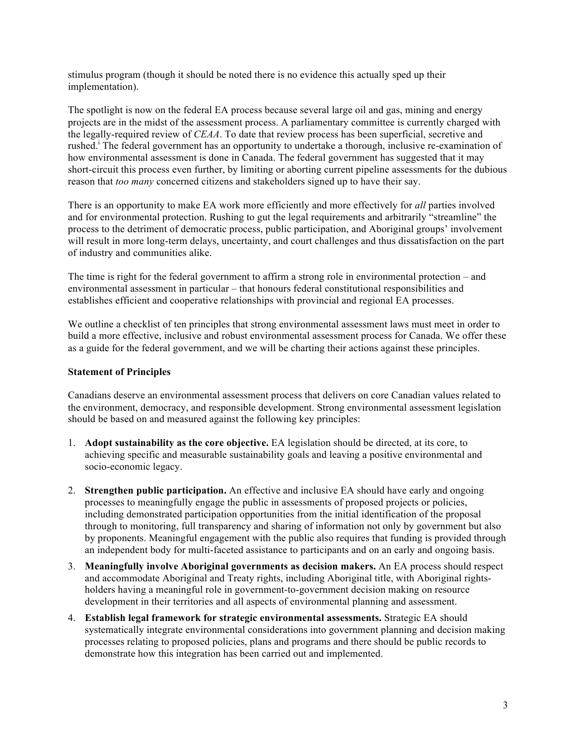stimulus program (though it should be noted there is no evidence this actually sped up their implementation).

The spotlight is now on the federal EA process because several large oil and gas, mining and energy projects are in the midst of the assessment process. A parliamentary committee is currently charged with the legally-required review of *CEAA*. To date that review process has been superficial, secretive and rushed.<sup>i</sup> The federal government has an opportunity to undertake a thorough, inclusive re-examination of how environmental assessment is done in Canada. The federal government has suggested that it may short-circuit this process even further, by limiting or aborting current pipeline assessments for the dubious reason that *too many* concerned citizens and stakeholders signed up to have their say.

There is an opportunity to make EA work more efficiently and more effectively for *all* parties involved and for environmental protection. Rushing to gut the legal requirements and arbitrarily "streamline" the process to the detriment of democratic process, public participation, and Aboriginal groups' involvement will result in more long-term delays, uncertainty, and court challenges and thus dissatisfaction on the part of industry and communities alike.

The time is right for the federal government to affirm a strong role in environmental protection – and environmental assessment in particular – that honours federal constitutional responsibilities and establishes efficient and cooperative relationships with provincial and regional EA processes.

We outline a checklist of ten principles that strong environmental assessment laws must meet in order to build a more effective, inclusive and robust environmental assessment process for Canada. We offer these as a guide for the federal government, and we will be charting their actions against these principles.

### **Statement of Principles**

Canadians deserve an environmental assessment process that delivers on core Canadian values related to the environment, democracy, and responsible development. Strong environmental assessment legislation should be based on and measured against the following key principles:

- 1. **Adopt sustainability as the core objective.** EA legislation should be directed, at its core, to achieving specific and measurable sustainability goals and leaving a positive environmental and socio-economic legacy.
- 2. **Strengthen public participation.** An effective and inclusive EA should have early and ongoing processes to meaningfully engage the public in assessments of proposed projects or policies, including demonstrated participation opportunities from the initial identification of the proposal through to monitoring, full transparency and sharing of information not only by government but also by proponents. Meaningful engagement with the public also requires that funding is provided through an independent body for multi-faceted assistance to participants and on an early and ongoing basis.
- 3. **Meaningfully involve Aboriginal governments as decision makers.** An EA process should respect and accommodate Aboriginal and Treaty rights, including Aboriginal title, with Aboriginal rightsholders having a meaningful role in government-to-government decision making on resource development in their territories and all aspects of environmental planning and assessment.
- 4. **Establish legal framework for strategic environmental assessments.** Strategic EA should systematically integrate environmental considerations into government planning and decision making processes relating to proposed policies, plans and programs and there should be public records to demonstrate how this integration has been carried out and implemented.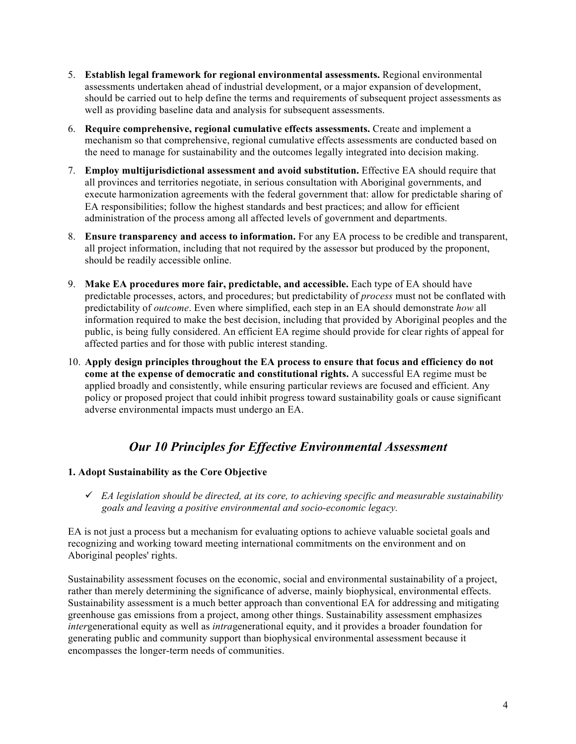- 5. **Establish legal framework for regional environmental assessments.** Regional environmental assessments undertaken ahead of industrial development, or a major expansion of development, should be carried out to help define the terms and requirements of subsequent project assessments as well as providing baseline data and analysis for subsequent assessments.
- 6. **Require comprehensive, regional cumulative effects assessments.** Create and implement a mechanism so that comprehensive, regional cumulative effects assessments are conducted based on the need to manage for sustainability and the outcomes legally integrated into decision making.
- 7. **Employ multijurisdictional assessment and avoid substitution.** Effective EA should require that all provinces and territories negotiate, in serious consultation with Aboriginal governments, and execute harmonization agreements with the federal government that: allow for predictable sharing of EA responsibilities; follow the highest standards and best practices; and allow for efficient administration of the process among all affected levels of government and departments.
- 8. **Ensure transparency and access to information.** For any EA process to be credible and transparent, all project information, including that not required by the assessor but produced by the proponent, should be readily accessible online.
- 9. **Make EA procedures more fair, predictable, and accessible.** Each type of EA should have predictable processes, actors, and procedures; but predictability of *process* must not be conflated with predictability of *outcome*. Even where simplified, each step in an EA should demonstrate *how* all information required to make the best decision, including that provided by Aboriginal peoples and the public, is being fully considered. An efficient EA regime should provide for clear rights of appeal for affected parties and for those with public interest standing.
- 10. **Apply design principles throughout the EA process to ensure that focus and efficiency do not come at the expense of democratic and constitutional rights.** A successful EA regime must be applied broadly and consistently, while ensuring particular reviews are focused and efficient. Any policy or proposed project that could inhibit progress toward sustainability goals or cause significant adverse environmental impacts must undergo an EA.

# *Our 10 Principles for Effective Environmental Assessment*

# **1. Adopt Sustainability as the Core Objective**

 *EA legislation should be directed, at its core, to achieving specific and measurable sustainability goals and leaving a positive environmental and socio-economic legacy.* 

EA is not just a process but a mechanism for evaluating options to achieve valuable societal goals and recognizing and working toward meeting international commitments on the environment and on Aboriginal peoples' rights.

Sustainability assessment focuses on the economic, social and environmental sustainability of a project, rather than merely determining the significance of adverse, mainly biophysical, environmental effects. Sustainability assessment is a much better approach than conventional EA for addressing and mitigating greenhouse gas emissions from a project, among other things. Sustainability assessment emphasizes *inter*generational equity as well as *intra*generational equity, and it provides a broader foundation for generating public and community support than biophysical environmental assessment because it encompasses the longer-term needs of communities.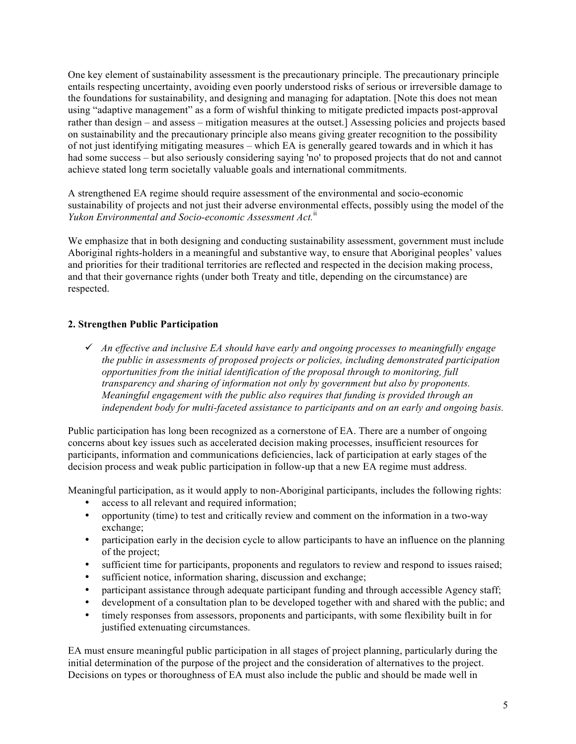One key element of sustainability assessment is the precautionary principle. The precautionary principle entails respecting uncertainty, avoiding even poorly understood risks of serious or irreversible damage to the foundations for sustainability, and designing and managing for adaptation. [Note this does not mean using "adaptive management" as a form of wishful thinking to mitigate predicted impacts post-approval rather than design – and assess – mitigation measures at the outset.] Assessing policies and projects based on sustainability and the precautionary principle also means giving greater recognition to the possibility of not just identifying mitigating measures – which EA is generally geared towards and in which it has had some success – but also seriously considering saying 'no' to proposed projects that do not and cannot achieve stated long term societally valuable goals and international commitments.

A strengthened EA regime should require assessment of the environmental and socio-economic sustainability of projects and not just their adverse environmental effects, possibly using the model of the *Yukon Environmental and Socio-economic Assessment Act.*ii

We emphasize that in both designing and conducting sustainability assessment, government must include Aboriginal rights-holders in a meaningful and substantive way, to ensure that Aboriginal peoples' values and priorities for their traditional territories are reflected and respected in the decision making process, and that their governance rights (under both Treaty and title, depending on the circumstance) are respected.

# **2. Strengthen Public Participation**

 *An effective and inclusive EA should have early and ongoing processes to meaningfully engage the public in assessments of proposed projects or policies, including demonstrated participation opportunities from the initial identification of the proposal through to monitoring, full transparency and sharing of information not only by government but also by proponents. Meaningful engagement with the public also requires that funding is provided through an independent body for multi-faceted assistance to participants and on an early and ongoing basis.*

Public participation has long been recognized as a cornerstone of EA. There are a number of ongoing concerns about key issues such as accelerated decision making processes, insufficient resources for participants, information and communications deficiencies, lack of participation at early stages of the decision process and weak public participation in follow-up that a new EA regime must address.

Meaningful participation, as it would apply to non-Aboriginal participants, includes the following rights:

- access to all relevant and required information;
- opportunity (time) to test and critically review and comment on the information in a two-way exchange;
- participation early in the decision cycle to allow participants to have an influence on the planning of the project;
- sufficient time for participants, proponents and regulators to review and respond to issues raised;
- sufficient notice, information sharing, discussion and exchange;
- participant assistance through adequate participant funding and through accessible Agency staff;
- development of a consultation plan to be developed together with and shared with the public; and
- timely responses from assessors, proponents and participants, with some flexibility built in for justified extenuating circumstances.

EA must ensure meaningful public participation in all stages of project planning, particularly during the initial determination of the purpose of the project and the consideration of alternatives to the project. Decisions on types or thoroughness of EA must also include the public and should be made well in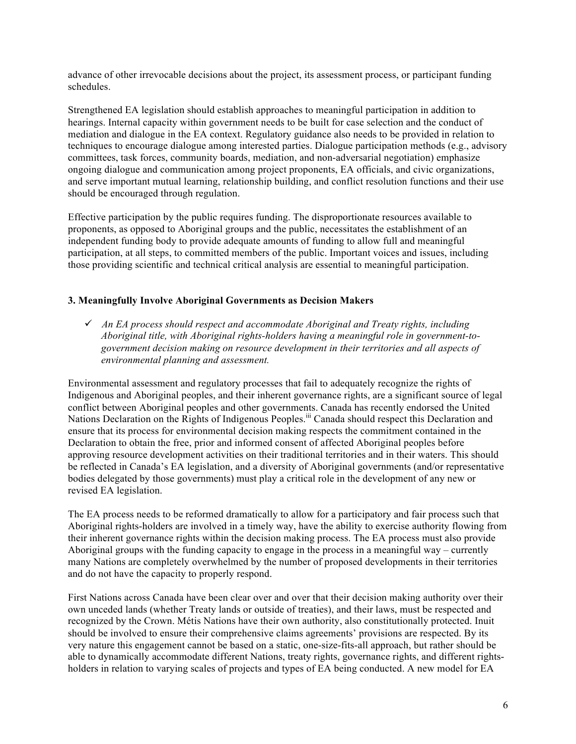advance of other irrevocable decisions about the project, its assessment process, or participant funding schedules.

Strengthened EA legislation should establish approaches to meaningful participation in addition to hearings. Internal capacity within government needs to be built for case selection and the conduct of mediation and dialogue in the EA context. Regulatory guidance also needs to be provided in relation to techniques to encourage dialogue among interested parties. Dialogue participation methods (e.g., advisory committees, task forces, community boards, mediation, and non-adversarial negotiation) emphasize ongoing dialogue and communication among project proponents, EA officials, and civic organizations, and serve important mutual learning, relationship building, and conflict resolution functions and their use should be encouraged through regulation.

Effective participation by the public requires funding. The disproportionate resources available to proponents, as opposed to Aboriginal groups and the public, necessitates the establishment of an independent funding body to provide adequate amounts of funding to allow full and meaningful participation, at all steps, to committed members of the public. Important voices and issues, including those providing scientific and technical critical analysis are essential to meaningful participation.

#### **3. Meaningfully Involve Aboriginal Governments as Decision Makers**

 *An EA process should respect and accommodate Aboriginal and Treaty rights, including Aboriginal title, with Aboriginal rights-holders having a meaningful role in government-togovernment decision making on resource development in their territories and all aspects of environmental planning and assessment.*

Environmental assessment and regulatory processes that fail to adequately recognize the rights of Indigenous and Aboriginal peoples, and their inherent governance rights, are a significant source of legal conflict between Aboriginal peoples and other governments. Canada has recently endorsed the United Nations Declaration on the Rights of Indigenous Peoples.<sup>iii</sup> Canada should respect this Declaration and ensure that its process for environmental decision making respects the commitment contained in the Declaration to obtain the free, prior and informed consent of affected Aboriginal peoples before approving resource development activities on their traditional territories and in their waters. This should be reflected in Canada's EA legislation, and a diversity of Aboriginal governments (and/or representative bodies delegated by those governments) must play a critical role in the development of any new or revised EA legislation.

The EA process needs to be reformed dramatically to allow for a participatory and fair process such that Aboriginal rights-holders are involved in a timely way, have the ability to exercise authority flowing from their inherent governance rights within the decision making process. The EA process must also provide Aboriginal groups with the funding capacity to engage in the process in a meaningful way – currently many Nations are completely overwhelmed by the number of proposed developments in their territories and do not have the capacity to properly respond.

First Nations across Canada have been clear over and over that their decision making authority over their own unceded lands (whether Treaty lands or outside of treaties), and their laws, must be respected and recognized by the Crown. Métis Nations have their own authority, also constitutionally protected. Inuit should be involved to ensure their comprehensive claims agreements' provisions are respected. By its very nature this engagement cannot be based on a static, one-size-fits-all approach, but rather should be able to dynamically accommodate different Nations, treaty rights, governance rights, and different rightsholders in relation to varying scales of projects and types of EA being conducted. A new model for EA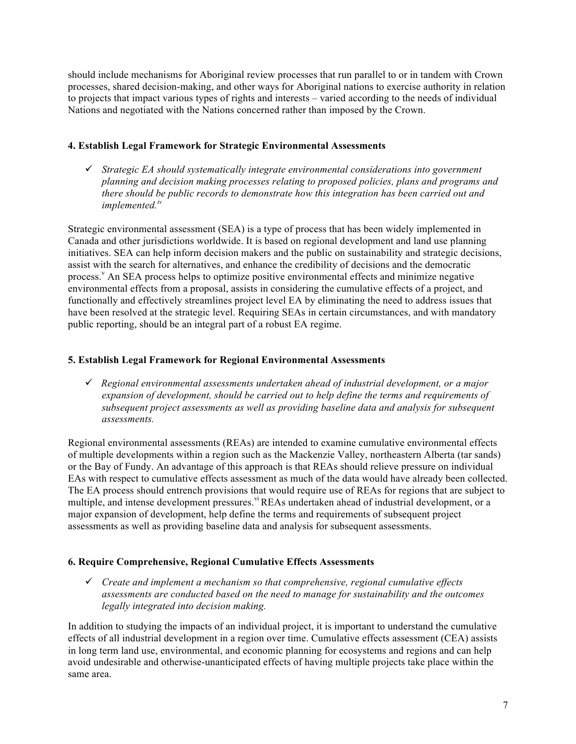should include mechanisms for Aboriginal review processes that run parallel to or in tandem with Crown processes, shared decision-making, and other ways for Aboriginal nations to exercise authority in relation to projects that impact various types of rights and interests – varied according to the needs of individual Nations and negotiated with the Nations concerned rather than imposed by the Crown.

# **4. Establish Legal Framework for Strategic Environmental Assessments**

 *Strategic EA should systematically integrate environmental considerations into government planning and decision making processes relating to proposed policies, plans and programs and there should be public records to demonstrate how this integration has been carried out and implemented. iv*

Strategic environmental assessment (SEA) is a type of process that has been widely implemented in Canada and other jurisdictions worldwide. It is based on regional development and land use planning initiatives. SEA can help inform decision makers and the public on sustainability and strategic decisions, assist with the search for alternatives, and enhance the credibility of decisions and the democratic process.<sup>v</sup> An SEA process helps to optimize positive environmental effects and minimize negative environmental effects from a proposal, assists in considering the cumulative effects of a project, and functionally and effectively streamlines project level EA by eliminating the need to address issues that have been resolved at the strategic level. Requiring SEAs in certain circumstances, and with mandatory public reporting, should be an integral part of a robust EA regime.

# **5. Establish Legal Framework for Regional Environmental Assessments**

 *Regional environmental assessments undertaken ahead of industrial development, or a major expansion of development, should be carried out to help define the terms and requirements of subsequent project assessments as well as providing baseline data and analysis for subsequent assessments.*

Regional environmental assessments (REAs) are intended to examine cumulative environmental effects of multiple developments within a region such as the Mackenzie Valley, northeastern Alberta (tar sands) or the Bay of Fundy. An advantage of this approach is that REAs should relieve pressure on individual EAs with respect to cumulative effects assessment as much of the data would have already been collected. The EA process should entrench provisions that would require use of REAs for regions that are subject to multiple, and intense development pressures.<sup>vi</sup> REAs undertaken ahead of industrial development, or a major expansion of development, help define the terms and requirements of subsequent project assessments as well as providing baseline data and analysis for subsequent assessments.

#### **6. Require Comprehensive, Regional Cumulative Effects Assessments**

 *Create and implement a mechanism so that comprehensive, regional cumulative effects assessments are conducted based on the need to manage for sustainability and the outcomes legally integrated into decision making.*

In addition to studying the impacts of an individual project, it is important to understand the cumulative effects of all industrial development in a region over time. Cumulative effects assessment (CEA) assists in long term land use, environmental, and economic planning for ecosystems and regions and can help avoid undesirable and otherwise-unanticipated effects of having multiple projects take place within the same area.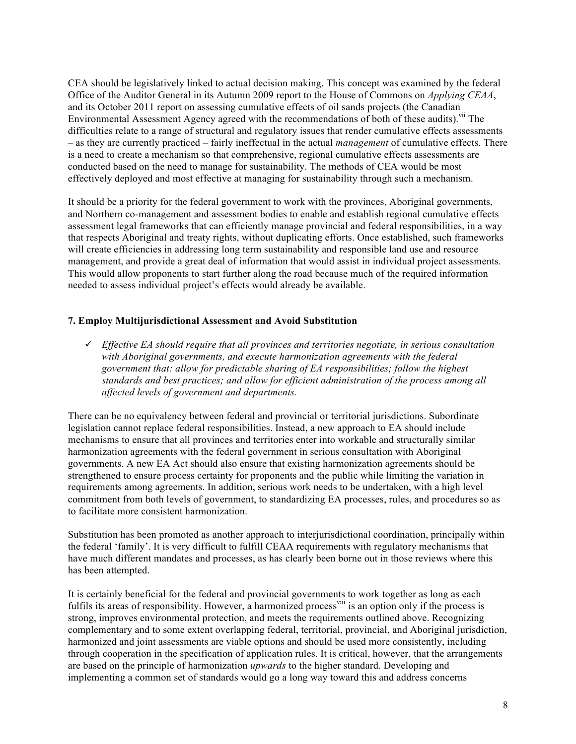CEA should be legislatively linked to actual decision making. This concept was examined by the federal Office of the Auditor General in its Autumn 2009 report to the House of Commons on *Applying CEAA*, and its October 2011 report on assessing cumulative effects of oil sands projects (the Canadian Environmental Assessment Agency agreed with the recommendations of both of these audits).<sup>vii</sup> The difficulties relate to a range of structural and regulatory issues that render cumulative effects assessments – as they are currently practiced – fairly ineffectual in the actual *management* of cumulative effects. There is a need to create a mechanism so that comprehensive, regional cumulative effects assessments are conducted based on the need to manage for sustainability. The methods of CEA would be most effectively deployed and most effective at managing for sustainability through such a mechanism.

It should be a priority for the federal government to work with the provinces, Aboriginal governments, and Northern co-management and assessment bodies to enable and establish regional cumulative effects assessment legal frameworks that can efficiently manage provincial and federal responsibilities, in a way that respects Aboriginal and treaty rights, without duplicating efforts. Once established, such frameworks will create efficiencies in addressing long term sustainability and responsible land use and resource management, and provide a great deal of information that would assist in individual project assessments. This would allow proponents to start further along the road because much of the required information needed to assess individual project's effects would already be available.

# **7. Employ Multijurisdictional Assessment and Avoid Substitution**

 *Effective EA should require that all provinces and territories negotiate, in serious consultation with Aboriginal governments, and execute harmonization agreements with the federal government that: allow for predictable sharing of EA responsibilities; follow the highest standards and best practices; and allow for efficient administration of the process among all affected levels of government and departments.*

There can be no equivalency between federal and provincial or territorial jurisdictions. Subordinate legislation cannot replace federal responsibilities. Instead, a new approach to EA should include mechanisms to ensure that all provinces and territories enter into workable and structurally similar harmonization agreements with the federal government in serious consultation with Aboriginal governments. A new EA Act should also ensure that existing harmonization agreements should be strengthened to ensure process certainty for proponents and the public while limiting the variation in requirements among agreements. In addition, serious work needs to be undertaken, with a high level commitment from both levels of government, to standardizing EA processes, rules, and procedures so as to facilitate more consistent harmonization.

Substitution has been promoted as another approach to interjurisdictional coordination, principally within the federal 'family'. It is very difficult to fulfill CEAA requirements with regulatory mechanisms that have much different mandates and processes, as has clearly been borne out in those reviews where this has been attempted.

It is certainly beneficial for the federal and provincial governments to work together as long as each fulfils its areas of responsibility. However, a harmonized process<sup>viii</sup> is an option only if the process is strong, improves environmental protection, and meets the requirements outlined above. Recognizing complementary and to some extent overlapping federal, territorial, provincial, and Aboriginal jurisdiction, harmonized and joint assessments are viable options and should be used more consistently, including through cooperation in the specification of application rules. It is critical, however, that the arrangements are based on the principle of harmonization *upwards* to the higher standard. Developing and implementing a common set of standards would go a long way toward this and address concerns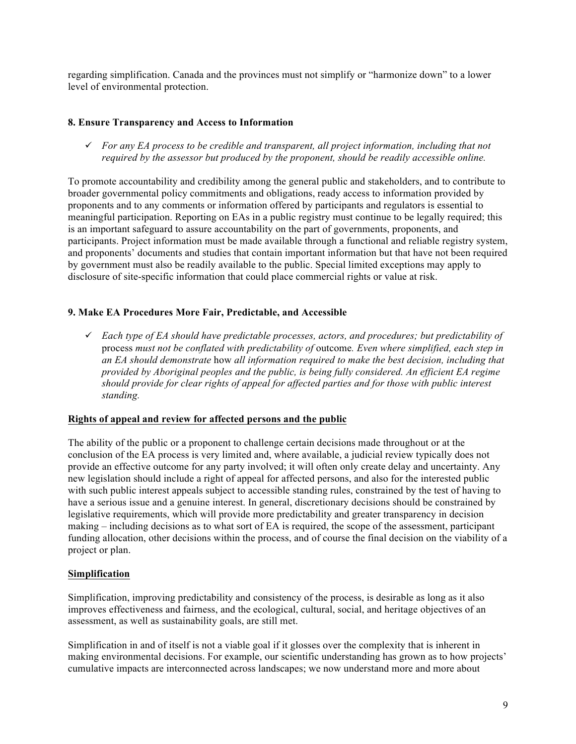regarding simplification. Canada and the provinces must not simplify or "harmonize down" to a lower level of environmental protection.

### **8. Ensure Transparency and Access to Information**

 *For any EA process to be credible and transparent, all project information, including that not required by the assessor but produced by the proponent, should be readily accessible online.*

To promote accountability and credibility among the general public and stakeholders, and to contribute to broader governmental policy commitments and obligations, ready access to information provided by proponents and to any comments or information offered by participants and regulators is essential to meaningful participation. Reporting on EAs in a public registry must continue to be legally required; this is an important safeguard to assure accountability on the part of governments, proponents, and participants. Project information must be made available through a functional and reliable registry system, and proponents' documents and studies that contain important information but that have not been required by government must also be readily available to the public. Special limited exceptions may apply to disclosure of site-specific information that could place commercial rights or value at risk.

# **9. Make EA Procedures More Fair, Predictable, and Accessible**

 *Each type of EA should have predictable processes, actors, and procedures; but predictability of*  process *must not be conflated with predictability of* outcome*. Even where simplified, each step in an EA should demonstrate* how *all information required to make the best decision, including that provided by Aboriginal peoples and the public, is being fully considered. An efficient EA regime should provide for clear rights of appeal for affected parties and for those with public interest standing.*

#### **Rights of appeal and review for affected persons and the public**

The ability of the public or a proponent to challenge certain decisions made throughout or at the conclusion of the EA process is very limited and, where available, a judicial review typically does not provide an effective outcome for any party involved; it will often only create delay and uncertainty. Any new legislation should include a right of appeal for affected persons, and also for the interested public with such public interest appeals subject to accessible standing rules, constrained by the test of having to have a serious issue and a genuine interest. In general, discretionary decisions should be constrained by legislative requirements, which will provide more predictability and greater transparency in decision making – including decisions as to what sort of EA is required, the scope of the assessment, participant funding allocation, other decisions within the process, and of course the final decision on the viability of a project or plan.

#### **Simplification**

Simplification, improving predictability and consistency of the process, is desirable as long as it also improves effectiveness and fairness, and the ecological, cultural, social, and heritage objectives of an assessment, as well as sustainability goals, are still met.

Simplification in and of itself is not a viable goal if it glosses over the complexity that is inherent in making environmental decisions. For example, our scientific understanding has grown as to how projects' cumulative impacts are interconnected across landscapes; we now understand more and more about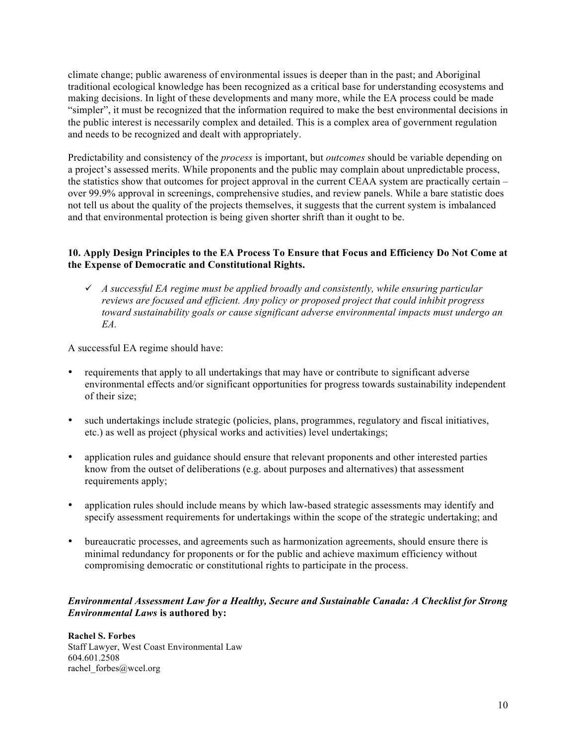climate change; public awareness of environmental issues is deeper than in the past; and Aboriginal traditional ecological knowledge has been recognized as a critical base for understanding ecosystems and making decisions. In light of these developments and many more, while the EA process could be made "simpler", it must be recognized that the information required to make the best environmental decisions in the public interest is necessarily complex and detailed. This is a complex area of government regulation and needs to be recognized and dealt with appropriately.

Predictability and consistency of the *process* is important, but *outcomes* should be variable depending on a project's assessed merits. While proponents and the public may complain about unpredictable process, the statistics show that outcomes for project approval in the current CEAA system are practically certain – over 99.9% approval in screenings, comprehensive studies, and review panels. While a bare statistic does not tell us about the quality of the projects themselves, it suggests that the current system is imbalanced and that environmental protection is being given shorter shrift than it ought to be.

# **10. Apply Design Principles to the EA Process To Ensure that Focus and Efficiency Do Not Come at the Expense of Democratic and Constitutional Rights.**

 *A successful EA regime must be applied broadly and consistently, while ensuring particular reviews are focused and efficient. Any policy or proposed project that could inhibit progress toward sustainability goals or cause significant adverse environmental impacts must undergo an EA.*

A successful EA regime should have:

- requirements that apply to all undertakings that may have or contribute to significant adverse environmental effects and/or significant opportunities for progress towards sustainability independent of their size;
- such undertakings include strategic (policies, plans, programmes, regulatory and fiscal initiatives, etc.) as well as project (physical works and activities) level undertakings;
- application rules and guidance should ensure that relevant proponents and other interested parties know from the outset of deliberations (e.g. about purposes and alternatives) that assessment requirements apply;
- application rules should include means by which law-based strategic assessments may identify and specify assessment requirements for undertakings within the scope of the strategic undertaking; and
- bureaucratic processes, and agreements such as harmonization agreements, should ensure there is minimal redundancy for proponents or for the public and achieve maximum efficiency without compromising democratic or constitutional rights to participate in the process.

#### *Environmental Assessment Law for a Healthy, Secure and Sustainable Canada: A Checklist for Strong Environmental Laws* **is authored by:**

**Rachel S. Forbes** Staff Lawyer, West Coast Environmental Law 604.601.2508 rachel\_forbes@wcel.org